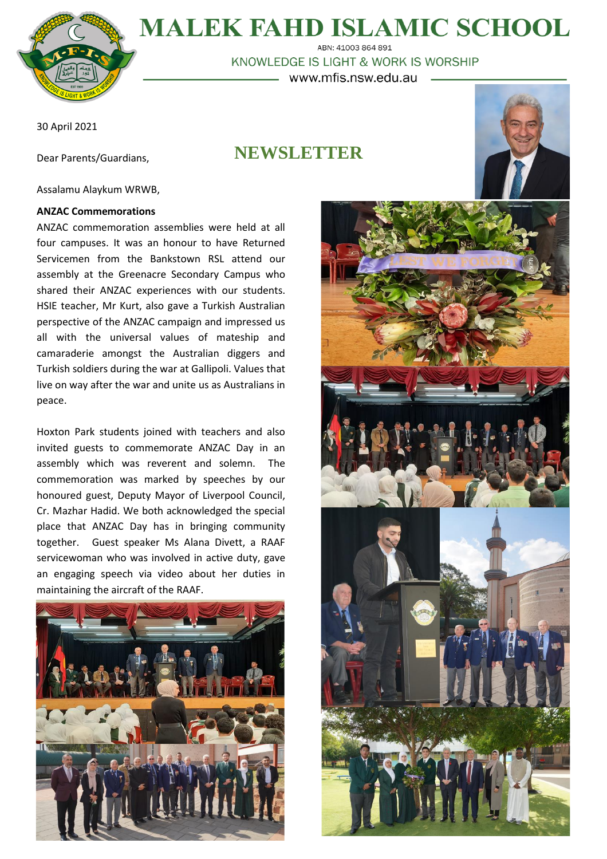

# **MALEK FAHD ISLAMIC SCHOOL**

ABN: 41003 864 891 KNOWLEDGE IS LIGHT & WORK IS WORSHIP www.mfis.nsw.edu.au

30 April 2021

Dear Parents/Guardians,

## **NEWSLETTER**



#### Assalamu Alaykum WRWB,

#### **ANZAC Commemorations**

ANZAC commemoration assemblies were held at all four campuses. It was an honour to have Returned Servicemen from the Bankstown RSL attend our assembly at the Greenacre Secondary Campus who shared their ANZAC experiences with our students. HSIE teacher, Mr Kurt, also gave a Turkish Australian perspective of the ANZAC campaign and impressed us all with the universal values of mateship and camaraderie amongst the Australian diggers and Turkish soldiers during the war at Gallipoli. Values that live on way after the war and unite us as Australians in peace.

Hoxton Park students joined with teachers and also invited guests to commemorate ANZAC Day in an assembly which was reverent and solemn. The commemoration was marked by speeches by our honoured guest, Deputy Mayor of Liverpool Council, Cr. Mazhar Hadid. We both acknowledged the special place that ANZAC Day has in bringing community together. Guest speaker Ms Alana Divett, a RAAF servicewoman who was involved in active duty, gave an engaging speech via video about her duties in maintaining the aircraft of the RAAF.



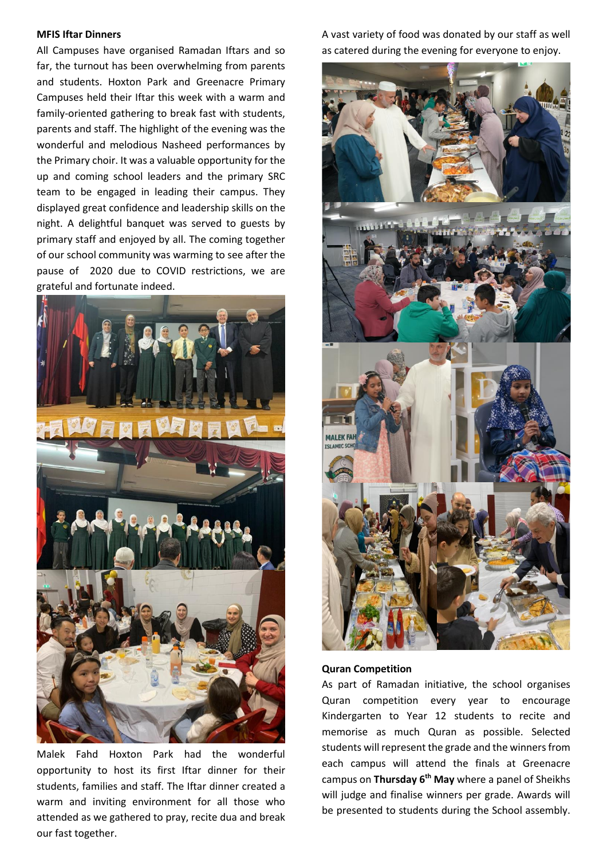#### **MFIS Iftar Dinners**

All Campuses have organised Ramadan Iftars and so far, the turnout has been overwhelming from parents and students. Hoxton Park and Greenacre Primary Campuses held their Iftar this week with a warm and family-oriented gathering to break fast with students, parents and staff. The highlight of the evening was the wonderful and melodious Nasheed performances by the Primary choir. It was a valuable opportunity for the up and coming school leaders and the primary SRC team to be engaged in leading their campus. They displayed great confidence and leadership skills on the night. A delightful banquet was served to guests by primary staff and enjoyed by all. The coming together of our school community was warming to see after the pause of 2020 due to COVID restrictions, we are grateful and fortunate indeed.



Malek Fahd Hoxton Park had the wonderful opportunity to host its first Iftar dinner for their students, families and staff. The Iftar dinner created a warm and inviting environment for all those who attended as we gathered to pray, recite dua and break our fast together.

A vast variety of food was donated by our staff as well as catered during the evening for everyone to enjoy.



**Quran Competition**

As part of Ramadan initiative, the school organises Quran competition every year to encourage Kindergarten to Year 12 students to recite and memorise as much Quran as possible. Selected students will represent the grade and the winners from each campus will attend the finals at Greenacre campus on **Thursday 6 th May** where a panel of Sheikhs will judge and finalise winners per grade. Awards will be presented to students during the School assembly.